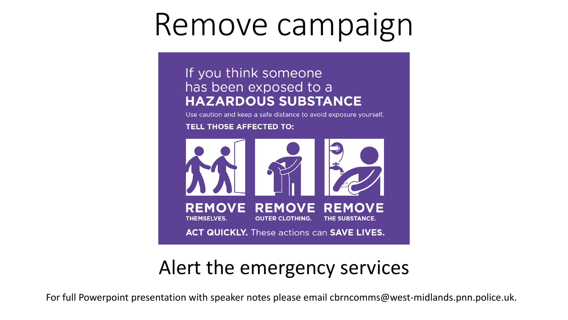# Remove campaign

### If you think someone has been exposed to a **HAZARDOUS SUBSTANCE**

Use caution and keep a safe distance to avoid exposure yourself.

**TELL THOSE AFFECTED TO:** 



# Alert the emergency services

For full Powerpoint presentation with speaker notes please email cbrncomms@west-midlands.pnn.police.uk.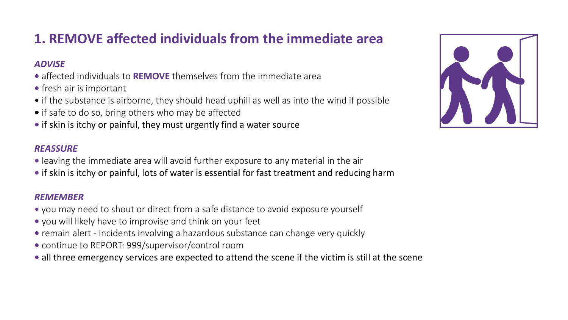### **1. REMOVE affected individuals from the immediate area**

### *ADVISE*

- affected individuals to **REMOVE** themselves from the immediate area
- fresh air is important
- if the substance is airborne, they should head uphill as well as into the wind if possible
- if safe to do so, bring others who may be affected
- if skin is itchy or painful, they must urgently find a water source

### *REASSURE*

- leaving the immediate area will avoid further exposure to any material in the air
- if skin is itchy or painful, lots of water is essential for fast treatment and reducing harm

### *REMEMBER*

- you may need to shout or direct from a safe distance to avoid exposure yourself
- you will likely have to improvise and think on your feet
- remain alert incidents involving a hazardous substance can change very quickly
- continue to REPORT: 999/supervisor/control room
- all three emergency services are expected to attend the scene if the victim is still at the scene

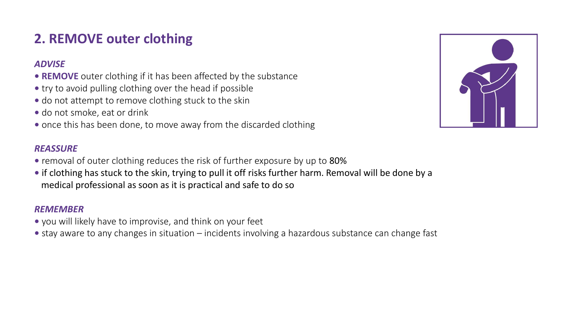### **2. REMOVE outer clothing**

### *ADVISE*

- **REMOVE** outer clothing if it has been affected by the substance
- try to avoid pulling clothing over the head if possible
- do not attempt to remove clothing stuck to the skin
- do not smoke, eat or drink
- once this has been done, to move away from the discarded clothing

### *REASSURE*

- removal of outer clothing reduces the risk of further exposure by up to 80%
- if clothing has stuck to the skin, trying to pull it off risks further harm. Removal will be done by a medical professional as soon as it is practical and safe to do so

### *REMEMBER*

- you will likely have to improvise, and think on your feet
- stay aware to any changes in situation incidents involving a hazardous substance can change fast

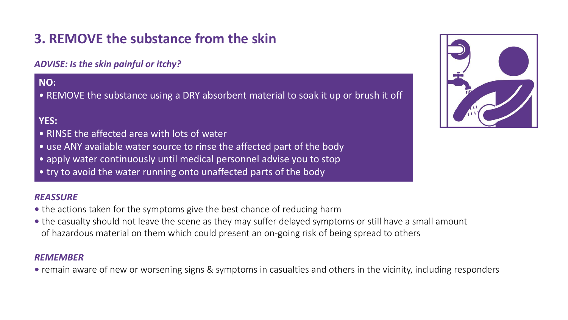### **3. REMOVE the substance from the skin**

*ADVISE: Is the skin painful or itchy?*

**NO:**

• REMOVE the substance using a DRY absorbent material to soak it up or brush it off

### **YES:**

- RINSE the affected area with lots of water
- use ANY available water source to rinse the affected part of the body
- apply water continuously until medical personnel advise you to stop
- try to avoid the water running onto unaffected parts of the body

### *REASSURE*

- the actions taken for the symptoms give the best chance of reducing harm
- the casualty should not leave the scene as they may suffer delayed symptoms or still have a small amount of hazardous material on them which could present an on-going risk of being spread to others

### *REMEMBER*

**•** remain aware of new or worsening signs & symptoms in casualties and others in the vicinity, including responders

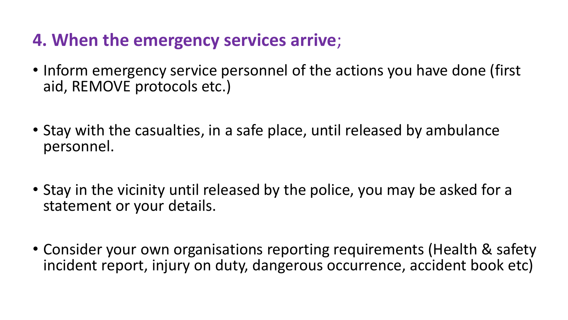## **4. When the emergency services arrive**;

- Inform emergency service personnel of the actions you have done (first aid, REMOVE protocols etc.)
- Stay with the casualties, in a safe place, until released by ambulance personnel.
- Stay in the vicinity until released by the police, you may be asked for a statement or your details.
- Consider your own organisations reporting requirements (Health & safety incident report, injury on duty, dangerous occurrence, accident book etc)